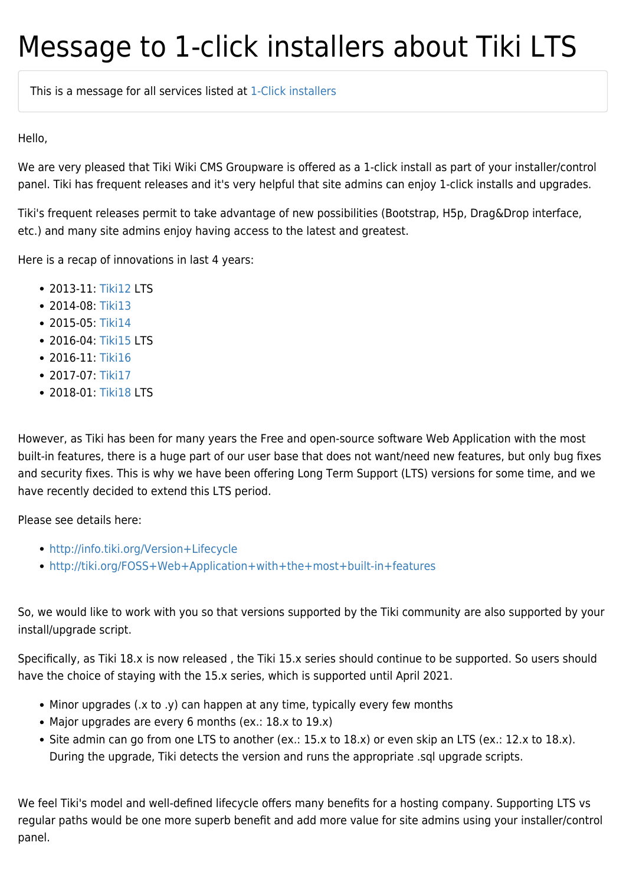## Message to 1-click installers about Tiki LTS

This is a message for all services listed at [1-Click installers](https://tiki.org/1-click-installers)

Hello,

We are very pleased that Tiki Wiki CMS Groupware is offered as a 1-click install as part of your installer/control panel. Tiki has frequent releases and it's very helpful that site admins can enjoy 1-click installs and upgrades.

Tiki's frequent releases permit to take advantage of new possibilities (Bootstrap, H5p, Drag&Drop interface, etc.) and many site admins enjoy having access to the latest and greatest.

Here is a recap of innovations in last 4 years:

- 2013-11: [Tiki12](http://doc.tiki.org/Tiki12) LTS
- 2014-08: [Tiki13](http://doc.tiki.org/Tiki13)
- 2015-05: [Tiki14](http://doc.tiki.org/Tiki14)
- 2016-04: [Tiki15](http://doc.tiki.org/Tiki15) LTS
- $2016 11$  [Tiki16](http://doc.tiki.org/Tiki16)
- 2017-07: [Tiki17](http://doc.tiki.org/Tiki17)
- 2018-01: [Tiki18](http://doc.tiki.org/Tiki18) LTS

However, as Tiki has been for many years the Free and open-source software Web Application with the most built-in features, there is a huge part of our user base that does not want/need new features, but only bug fixes and security fixes. This is why we have been offering Long Term Support (LTS) versions for some time, and we have recently decided to extend this LTS period.

Please see details here:

- <http://info.tiki.org/Version+Lifecycle>
- <http://tiki.org/FOSS+Web+Application+with+the+most+built-in+features>

So, we would like to work with you so that versions supported by the Tiki community are also supported by your install/upgrade script.

Specifically, as Tiki 18.x is now released , the Tiki 15.x series should continue to be supported. So users should have the choice of staying with the 15.x series, which is supported until April 2021.

- Minor upgrades (.x to .y) can happen at any time, typically every few months
- Major upgrades are every 6 months (ex.: 18.x to 19.x)
- Site admin can go from one LTS to another (ex.: 15.x to 18.x) or even skip an LTS (ex.: 12.x to 18.x). During the upgrade, Tiki detects the version and runs the appropriate .sql upgrade scripts.

We feel Tiki's model and well-defined lifecycle offers many benefits for a hosting company. Supporting LTS vs regular paths would be one more superb benefit and add more value for site admins using your installer/control panel.